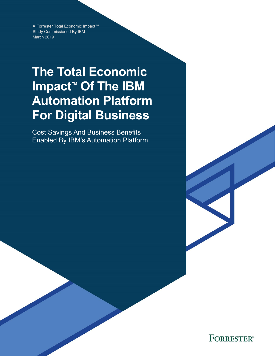A Forrester Total Economic Impact™ Study Commissioned By IBM March 2019

# **The Total Economic Impact™ Of The IBM Automation Platform For Digital Business**

Cost Savings And Business Benefits Enabled By IBM's Automation Platform

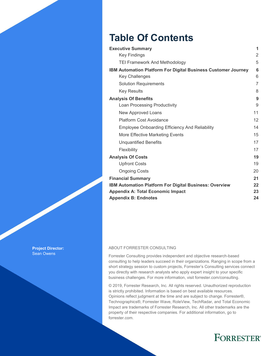## **Table Of Contents**

| <b>Executive Summary</b>                                             | 1              |
|----------------------------------------------------------------------|----------------|
| <b>Key Findings</b>                                                  | 2              |
| <b>TEI Framework And Methodology</b>                                 | 5              |
| <b>IBM Automation Platform For Digital Business Customer Journey</b> | 6              |
| <b>Key Challenges</b>                                                | 6              |
| <b>Solution Requirements</b>                                         | $\overline{7}$ |
| <b>Key Results</b>                                                   | 8              |
| <b>Analysis Of Benefits</b>                                          | 9              |
| Loan Processing Productivity                                         | 9              |
| New Approved Loans                                                   | 11             |
| <b>Platform Cost Avoidance</b>                                       | 12             |
| <b>Employee Onboarding Efficiency And Reliability</b>                | 14             |
| More Effective Marketing Events                                      | 15             |
| <b>Unguantified Benefits</b>                                         | 17             |
| Flexibility                                                          | 17             |
| <b>Analysis Of Costs</b>                                             | 19             |
| <b>Upfront Costs</b>                                                 | 19             |
| <b>Ongoing Costs</b>                                                 | 20             |
| <b>Financial Summary</b>                                             | 21             |
| <b>IBM Automation Platform For Digital Business: Overview</b>        | 22             |
| <b>Appendix A: Total Economic Impact</b>                             | 23             |
| <b>Appendix B: Endnotes</b>                                          | 24             |

### ABOUT FORRESTER CONSULTING

Forrester Consulting provides independent and objective research-based consulting to help leaders succeed in their organizations. Ranging in scope from a short strategy session to custom projects, Forrester's Consulting services connect you directly with research analysts who apply expert insight to your specific business challenges. For more information, visit forrester.com/consulting.

© 2019, Forrester Research, Inc. All rights reserved. Unauthorized reproduction is strictly prohibited. Information is based on best available resources. Opinions reflect judgment at the time and are subject to change. Forrester®, Technographics®, Forrester Wave, RoleView, TechRadar, and Total Economic Impact are trademarks of Forrester Research, Inc. All other trademarks are the property of their respective companies. For additional information, go to forrester.com.

## **FORRESTER®**

**Project Director:** Sean Owens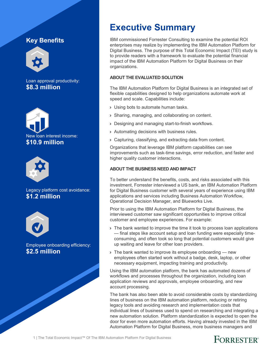## **Key Benefits**



Loan approval productivity: **\$8.3 million**





Legacy platform cost avoidance: **\$1.2 million**



Employee onboarding efficiency: **\$2.5 million**

## **Executive Summary**

IBM commissioned Forrester Consulting to examine the potential ROI enterprises may realize by implementing the IBM Automation Platform for Digital Business. The purpose of this Total Economic Impact (TEI) study is to provide readers with a framework to evaluate the potential financial impact of the IBM Automation Platform for Digital Business on their organizations.

### **ABOUT THE EVALUATED SOLUTION**

The IBM Automation Platform for Digital Business is an integrated set of flexible capabilities designed to help organizations automate work at speed and scale. Capabilities include:

- › Using bots to automate human tasks.
- › Sharing, managing, and collaborating on content.
- › Designing and managing start-to-finish workflows.
- › Automating decisions with business rules.
- › Capturing, classifying, and extracting data from content.

Organizations that leverage IBM platform capabilities can see improvements such as task-time savings, error reduction, and faster and higher quality customer interactions.

### **ABOUT THE BUSINESS NEED AND IMPACT**

To better understand the benefits, costs, and risks associated with this investment, Forrester interviewed a US bank, an IBM Automation Platform for Digital Business customer with several years of experience using IBM applications and services including Business Automation Workflow, Operational Decision Manager, and Blueworks Live.

Prior to using the IBM Automation Platform for Digital Business, the interviewed customer saw significant opportunities to improve critical customer and employee experiences. For example:

- › The bank wanted to improve the time it took to process loan applications — final steps like account setup and loan funding were especially timeconsuming, and often took so long that potential customers would give up waiting and leave for other loan providers.
- > The bank wanted to improve its employee onboarding new employees often started work without a badge, desk, laptop, or other necessary equipment, impacting training and productivity.

Using the IBM automation platform, the bank has automated dozens of workflows and processes throughout the organization, including loan application reviews and approvals, employee onboarding, and new account processing.

The bank has also been able to avoid considerable costs by standardizing lines of business on the IBM automation platform, reducing or retiring legacy tools and avoiding research and implementation costs that individual lines of business used to spend on researching and integrating a new automation solution. Platform standardization is expected to open the door for even more automation efforts. Having already invested in the IBM Automation Platform for Digital Business, more business managers and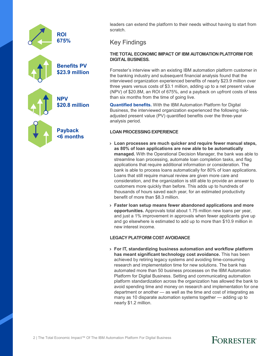

leaders can extend the platform to their needs without having to start from scratch.

### Key Findings

### **THE TOTAL ECONOMIC IMPACT OF IBM AUTOMATION PLATFORM FOR DIGITAL BUSINESS.**

Forrester's interview with an existing IBM automation platform customer in the banking industry and subsequent financial analysis found that the interviewed organization experienced benefits of nearly \$23.9 million over three years versus costs of \$3.1 million, adding up to a net present value (NPV) of \$20.8M, an ROI of 675%, and a payback on upfront costs of less than six months from the time of going live.

**Quantified benefits.** With the IBM Automation Platform for Digital Business, the interviewed organization experienced the following riskadjusted present value (PV) quantified benefits over the three-year analysis period.

### **LOAN PROCESSING EXPERIENCE**

- › **Loan processes are much quicker and require fewer manual steps, as 80% of loan applications are now able to be automatically managed.** With the Operational Decision Manager, the bank was able to streamline loan processing, automate loan completion tasks, and flag applications that require additional information or consideration. The bank is able to process loans automatically for 80% of loan applications. Loans that still require manual review are given more care and consideration, and the organization is still able to provide an answer to customers more quickly than before. This adds up to hundreds of thousands of hours saved each year, for an estimated productivity benefit of more than \$8.3 million.
- › **Faster loan setup means fewer abandoned applications and more opportunities.** Approvals total about 1.75 million new loans per year, and just a 1% improvement in approvals when fewer applicants give up and go elsewhere is estimated to add up to more than \$10.9 million in new interest income.

### **LEGACY PLATFORM COST AVOIDANCE**

› **For IT, standardizing business automation and workflow platform has meant significant technology cost avoidance.** This has been achieved by retiring legacy systems and avoiding time-consuming research and implementation time for new solutions. The bank has automated more than 50 business processes on the IBM Automation Platform for Digital Business. Setting and communicating automation platform standardization across the organization has allowed the bank to avoid spending time and money on research and implementation for one department or another — as well as the time and cost of integrating as many as 10 disparate automation systems together — adding up to nearly \$1.2 million.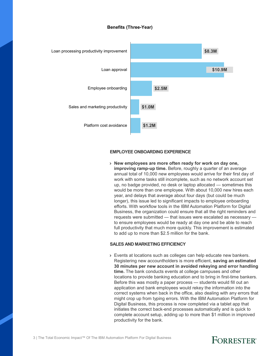### **Benefits (Three-Year)**



#### **EMPLOYEE ONBOARDING EXPERIENCE**

› **New employees are more often ready for work on day one, improving ramp-up time.** Before, roughly a quarter of an average annual total of 10,000 new employees would arrive for their first day of work with some tasks still incomplete, such as no network account set up, no badge provided, no desk or laptop allocated — sometimes this would be more than one employee. With about 10,000 new hires each year, and delays that average about four days (but could be much longer), this issue led to significant impacts to employee onboarding efforts. With workflow tools in the IBM Automation Platform for Digital Business, the organization could ensure that all the right reminders and requests were submitted — that issues were escalated as necessary to ensure employees would be ready at day one and be able to reach full productivity that much more quickly. This improvement is estimated to add up to more than \$2.5 million for the bank.

#### **SALES AND MARKETING EFFICIENCY**

› Events at locations such as colleges can help educate new bankers. Registering new accountholders is more efficient, **saving an estimated 30 minutes per new account in avoided rekeying and error handling time.** The bank conducts events at college campuses and other locations to provide banking education and to bring in first-time bankers. Before this was mostly a paper process — students would fill out an application and bank employees would rekey the information into the correct systems when back in the office, also dealing with any errors that might crop up from typing errors. With the IBM Automation Platform for Digital Business, this process is now completed via a tablet app that initiates the correct back-end processes automatically and is quick to complete account setup, adding up to more than \$1 million in improved productivity for the bank.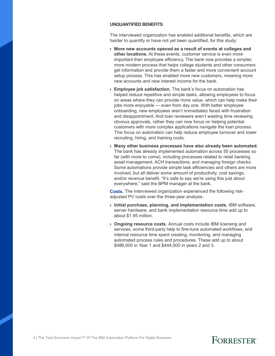#### **UNQUANTIFIED BENEFITS**

The interviewed organization has enabled additional benefits, which are harder to quantify or have not yet been quantified, for this study:

- › **More new accounts opened as a result of events at colleges and other locations.** At these events, customer service is even more important than employee efficiency. The bank now provides a simpler, more modern process that helps college students and other consumers get information and provide them a faster and more convenient account setup process. This has enabled more new customers, meaning more new accounts and new interest income for the bank.
- › **Employee job satisfaction.** The bank's focus on automation has helped reduce repetitive and simple tasks, allowing employees to focus on areas where they can provide more value, which can help make their jobs more enjoyable — even from day one. With better employee onboarding, new employees aren't immediately faced with frustration and disappointment. And loan reviewers aren't wasting time reviewing obvious approvals, rather they can now focus on helping potential customers with more complex applications navigate the loan process. This focus on automation can help reduce employee turnover and lower recruiting, hiring, and training costs.
- › **Many other business processes have also already been automated.** The bank has already implemented automation across 50 processes so far (with more to come), including processes related to retail banking, asset management, ACH transactions, and managing foreign checks. Some automations provide simple task efficiencies and others are more involved, but all deliver some amount of productivity, cost savings, and/or revenue benefit. "It's safe to say we're using this just about everywhere," said the BPM manager at the bank.

**Costs.** The interviewed organization experienced the following riskadjusted PV costs over the three-year analysis:

- › **Initial purchase, planning, and implementation costs.** IBM software, server hardware, and bank implementation resource time add up to about \$1.95 million.
- › **Ongoing resource costs.** Annual costs include IBM licensing and services, some third-party help to fine-tune automated workflows, and internal resource time spent creating, monitoring, and managing automated process rules and procedures. These add up to about \$486,000 in Year 1 and \$444,000 in years 2 and 3.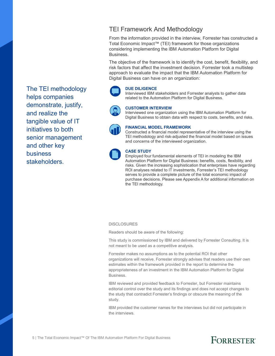### TEI Framework And Methodology

From the information provided in the interview, Forrester has constructed a Total Economic Impact™ (TEI) framework for those organizations considering implementing the IBM Automation Platform for Digital Business.

The objective of the framework is to identify the cost, benefit, flexibility, and risk factors that affect the investment decision. Forrester took a multistep approach to evaluate the impact that the IBM Automation Platform for Digital Business can have on an organization:

### **DUE DILIGENCE**

Interviewed IBM stakeholders and Forrester analysts to gather data related to the Automation Platform for Digital Business.

### **CUSTOMER INTERVIEW**

Interviewed one organization using the IBM Automation Platform for Digital Business to obtain data with respect to costs, benefits, and risks.



### **FINANCIAL MODEL FRAMEWORK**

Constructed a financial model representative of the interview using the TEI methodology and risk-adjusted the financial model based on issues and concerns of the interviewed organization.



### **CASE STUDY**

Employed four fundamental elements of TEI in modeling the IBM Automation Platform for Digital Business: benefits, costs, flexibility, and risks. Given the increasing sophistication that enterprises have regarding ROI analyses related to IT investments, Forrester's TEI methodology serves to provide a complete picture of the total economic impact of purchase decisions. Please see Appendix A for additional information on the TEI methodology.

#### **DISCLOSURES**

Readers should be aware of the following:

This study is commissioned by IBM and delivered by Forrester Consulting. It is not meant to be used as a competitive analysis.

Forrester makes no assumptions as to the potential ROI that other organizations will receive. Forrester strongly advises that readers use their own estimates within the framework provided in the report to determine the appropriateness of an investment in the IBM Automation Platform for Digital Business.

IBM reviewed and provided feedback to Forrester, but Forrester maintains editorial control over the study and its findings and does not accept changes to the study that contradict Forrester's findings or obscure the meaning of the study.

IBM provided the customer names for the interviews but did not participate in the interviews.

The TEI methodology helps companies demonstrate, justify, and realize the tangible value of IT initiatives to both senior management and other key business stakeholders.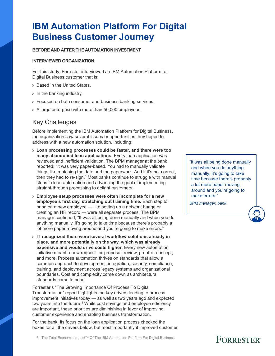## **IBM Automation Platform For Digital Business Customer Journey**

### **BEFORE AND AFTER THE AUTOMATION INVESTMENT**

#### **INTERVIEWED ORGANIZATION**

For this study, Forrester interviewed an IBM Automation Platform for Digital Business customer that is:

- › Based in the United States.
- › In the banking industry.
- › Focused on both consumer and business banking services.
- › A large enterprise with more than 50,000 employees.

### Key Challenges

Before implementing the IBM Automation Platform for Digital Business, the organization saw several issues or opportunities they hoped to address with a new automation solution, including:

- › **Loan processing processes could be faster, and there were too many abandoned loan applications.** Every loan application was reviewed and inefficient validation. The BPM manager at the bank reported: "It was very paper-based. You had to manually validate things like matching the date and the paperwork. And if it's not correct, then they had to re-sign." Most banks continue to struggle with manual steps in loan automation and advancing the goal of implementing straight-through processing to delight customers.
- › **Employee setup processes were often incomplete for a new employee's first day, stretching out training time.** Each step to bring on a new employee — like setting up a network badge or creating an HR record — were all separate process. The BPM manager continued, "It was all being done manually and when you do anything manually, it's going to take time because there's probably a lot more paper moving around and you're going to make errors."
- › **IT recognized there were several workflow solutions already in place, and more potentially on the way, which was already expensive and would drive costs higher**. Every new automation initiative meant a new request-for-proposal, review, proof-of-concept, and more. Process automation thrives on standards that allow a common approach to development, integration, security, compliance, training, and deployment across legacy systems and organizational boundaries. Cost and complexity come down as architectural standards come to bear.

Forrester's "The Growing Importance Of Process To Digital Transformation" report highlights the key drivers leading to process improvement initiatives today — as well as two years ago and expected two years into the future.<sup>1</sup> While cost savings and employee efficiency are important, these priorities are diminishing in favor of improving customer experience and enabling business transformation.

For the bank, its focus on the loan application process checked the boxes for all the drivers below, but most importantly it improved customer

"It was all being done manually and when you do anything manually, it's going to take time because there's probably a lot more paper moving around and you're going to make errors."

*BPM manager, bank*

6 | The Total Economic Impact™ Of The IBM Automation Platform For Digital Business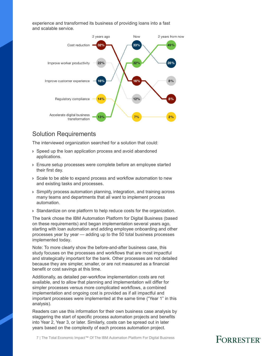experience and transformed its business of providing loans into a fast and scalable service.



### Solution Requirements

The interviewed organization searched for a solution that could:

- › Speed up the loan application process and avoid abandoned applications.
- › Ensure setup processes were complete before an employee started their first day.
- › Scale to be able to expand process and workflow automation to new and existing tasks and processes.
- › Simplify process automation planning, integration, and training across many teams and departments that all want to implement process automation.
- › Standardize on one platform to help reduce costs for the organization.

The bank chose the IBM Automation Platform for Digital Business (based on these requirements) and began implementation several years ago, starting with loan automation and adding employee onboarding and other processes year by year — adding up to the 50 total business processes implemented today.

Note: To more clearly show the before-and-after business case, this study focuses on the processes and workflows that are most impactful and strategically important for the bank. Other processes are not detailed because they are simpler, smaller, or are not measured as a financial benefit or cost savings at this time.

Additionally, as detailed per-workflow implementation costs are not available, and to allow that planning and implementation will differ for simpler processes versus more complicated workflows, a combined implementation and ongoing cost is provided as if all impactful and important processes were implemented at the same time ("Year 1" in this analysis).

Readers can use this information for their own business case analysis by staggering the start of specific process automation projects and benefits into Year 2, Year 3, or later. Similarly, costs can be spread out in later years based on the complexity of each process automation project.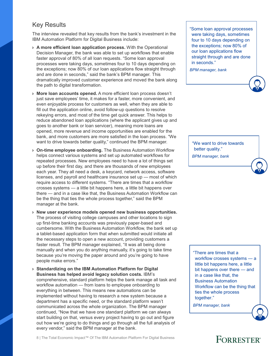### Key Results

The interview revealed that key results from the bank's investment in the IBM Automation Platform for Digital Business include:

- › **A more efficient loan application process.** With the Operational Decision Manager, the bank was able to set up workflows that enable faster approval of 80% of all loan requests. "Some loan approval processes were taking days, sometimes four to 10 days depending on the exceptions; now 80% of our loan applications flow straight through and are done in seconds," said the bank's BPM manager. This dramatically improved customer experience and moved the bank along the path to digital transformation.
- › **More loan accounts opened.** A more efficient loan process doesn't just save employees' time, it makes for a faster, more convenient, and even enjoyable process for customers as well, when they are able to fill out the application online, avoid follow-up questions to resolve rekeying errors, and most of the time get quick answer. This helps to reduce abandoned loan applications (where the applicant gives up and goes to another bank or loan servicer), meaning more loans are opened, more revenue and income opportunities are enabled for the bank, and more customers are more satisfied in the loan process. "We want to drive towards better quality," continued the BPM manager.
- › **On-time employee onboarding.** The Business Automation Workflow helps connect various systems and set up automated workflows for repeated processes. New employees need to have a lot of things set up before their first day, and there are thousands of new employees each year. They all need a desk, a keycard, network access, software licenses, and payroll and healthcare insurance set up — most of which require access to different systems. "There are times that a workflow crosses systems — a little bit happens here, a little bit happens over there — and in a case like that, the Business Automation Workflow can be the thing that ties the whole process together," said the BPM manager at the bank.
- › **New user experience models opened new business opportunities.** The process of visiting college campuses and other locations to sign up first-time banking accounts was previously paper-based and cumbersome. With the Business Automation Workflow, the bank set up a tablet-based application form that when submitted would initiate all the necessary steps to open a new account, providing customers a faster result. The BPM manager explained, "It was all being done manually and when you do anything manually, it's going to take time because you're moving the paper around and you're going to have people make errors."
- › **Standardizing on the IBM Automation Platform for Digital Business has helped avoid legacy solution costs.** IBM's comprehensive, standard platform helps the bank manage all task and workflow automation — from loans to employee onboarding to everything in between. This means new automations can be implemented without having to research a new system because a department has a specific need, or the standard platform wasn't communicated across the whole organization. The BPM manager continued, "Now that we have one standard platform we can always start building on that, versus every project having to go out and figure out how we're going to do things and go through all the full analysis of every vendor," said the BPM manager at the bank.

"Some loan approval processes were taking days, sometimes four to 10 days depending on the exceptions; now 80% of our loan applications flow straight through and are done in seconds."

*BPM manager, bank*

"We want to drive towards better quality."

*BPM manager, bank*

"There are times that a workflow crosses systems — a little bit happens here, a little bit happens over there — and in a case like that, the Business Automation Workflow can be the thing that ties the whole process together."

*BPM manager, bank*



8 | The Total Economic Impact™ Of The IBM Automation Platform For Digital Business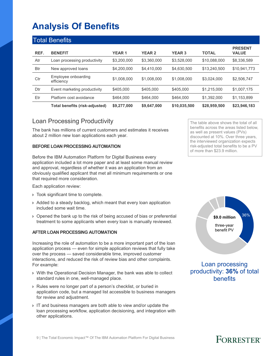## **Analysis Of Benefits**

|            | <b>Total Benefits</b>             |              |               |               |              |                                |
|------------|-----------------------------------|--------------|---------------|---------------|--------------|--------------------------------|
| REF.       | <b>BENEFIT</b>                    | <b>YEAR1</b> | <b>YEAR 2</b> | <b>YEAR 3</b> | <b>TOTAL</b> | <b>PRESENT</b><br><b>VALUE</b> |
| Atr        | Loan processing productivity      | \$3,200,000  | \$3.360,000   | \$3.528,000   | \$10,088,000 | \$8.336.589                    |
| <b>Btr</b> | New approved loans                | \$4,200,000  | \$4.410,000   | \$4,630,500   | \$13,240,500 | \$10,941,773                   |
| Ctr        | Employee onboarding<br>efficiency | \$1,008,000  | \$1,008,000   | \$1,008,000   | \$3.024.000  | \$2,506,747                    |
| Dtr        | Event marketing productivity      | \$405,000    | \$405,000     | \$405,000     | \$1.215.000  | \$1,007,175                    |
| Etr        | Platform cost avoidance           | \$464,000    | \$464,000     | \$464,000     | \$1.392.000  | \$1,153,899                    |
|            | Total benefits (risk-adjusted)    | \$9,277,000  | \$9,647,000   | \$10,035,500  | \$28,959,500 | \$23,946,183                   |

### Loan Processing Productivity

The bank has millions of current customers and estimates it receives about 2 million new loan applications each year.

### **BEFORE LOAN PROCESSING AUTOMATION**

Before the IBM Automation Platform for Digital Business every application included a lot more paper and at least some manual review and approval, regardless of whether it was an application from an obviously qualified applicant that met all minimum requirements or one that required more consideration.

Each application review:

- › Took significant time to complete.
- › Added to a steady backlog, which meant that every loan application included some wait time.
- › Opened the bank up to the risk of being accused of bias or preferential treatment to some applicants when every loan is manually reviewed.

### **AFTER LOAN PROCESSING AUTOMATION**

Increasing the role of automation to be a more important part of the loan application process — even for simple application reviews that fully take over the process — saved considerable time, improved customer interactions, and reduced the risk of review bias and other complaints. For example:

- › With the Operational Decision Manager, the bank was able to collect standard rules in one, well-managed place.
- › Rules were no longer part of a person's checklist, or buried in application code, but a managed list accessible to business managers for review and adjustment.
- › IT and business managers are both able to view and/or update the loan processing workflow, application decisioning, and integration with other applications.

The table above shows the total of all benefits across the areas listed below, as well as present values (PVs) discounted at 10%. Over three years, the interviewed organization expects risk-adjusted total benefits to be a PV of more than \$23.9 million.



Loan processing productivity: **36%** of total benefits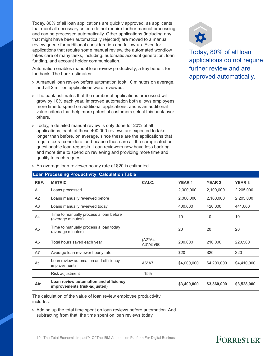Today, 80% of all loan applications are quickly approved, as applicants that meet all necessary criteria do not require further manual processing and can be processed automatically. Other applications (including any that might have been automatically rejected) are moved to a manual review queue for additional consideration and follow-up. Even for applications that require some manual review, the automated workflow takes care of many tasks, including: automatic account generation, loan funding, and account holder communication.

Automation enables manual loan review productivity, a key benefit for the bank. The bank estimates:

- › A manual loan review before automation took 10 minutes on average, and all 2 million applications were reviewed.
- › The bank estimates that the number of applications processed will grow by 10% each year. Improved automation both allows employees more time to spend on additional applications, and is an additional value criteria that help more potential customers select this bank over others.
- › Today, a detailed manual review is only done for 20% of all applications; each of these 400,000 reviews are expected to take longer than before, on average, since these are the applications that require extra consideration because these are all the complicated or questionable loan requests. Loan reviewers now have less backlog and more time to spend on reviewing and providing more time and quality to each request.



Today, 80% of all loan applications do not require further review and are approved automatically.

|                | <b>Loan Processing Productivity: Calculation Table</b>                |                          |              |               |               |
|----------------|-----------------------------------------------------------------------|--------------------------|--------------|---------------|---------------|
| REF.           | <b>METRIC</b>                                                         | CALC.                    | <b>YEAR1</b> | <b>YEAR 2</b> | <b>YEAR 3</b> |
| A <sub>1</sub> | Loans processed                                                       |                          | 2,000,000    | 2,100,000     | 2,205,000     |
| A2             | Loans manually reviewed before                                        |                          | 2,000,000    | 2,100,000     | 2,205,000     |
| A <sub>3</sub> | Loans manually reviewed today                                         |                          | 400,000      | 420,000       | 441,000       |
| A <sub>4</sub> | Time to manually process a loan before<br>(average minutes)           |                          | 10           | 10            | 10            |
| A <sub>5</sub> | Time to manually process a loan today<br>(average minutes)            |                          | 20           | 20            | 20            |
| A <sub>6</sub> | Total hours saved each year                                           | $(A2^*AA -$<br>A3*A5)/60 | 200,000      | 210,000       | 220,500       |
| A7             | Average loan reviewer hourly rate                                     |                          | \$20         | \$20          | \$20          |
| At             | Loan review automation and efficiency<br>improvements                 | A6*A7                    | \$4,000,000  | \$4,200,000   | \$4,410,000   |
|                | Risk adjustment                                                       | $\downarrow$ 15%         |              |               |               |
| Atr            | Loan review automation and efficiency<br>improvements (risk-adjusted) |                          | \$3,400,000  | \$3,360,000   | \$3,528,000   |
|                |                                                                       |                          |              |               |               |

› An average loan reviewer hourly rate of \$20 is estimated.

The calculation of the value of loan review employee productivity includes:

› Adding up the total time spent on loan reviews before automation. And subtracting from that, the time spent on loan reviews today.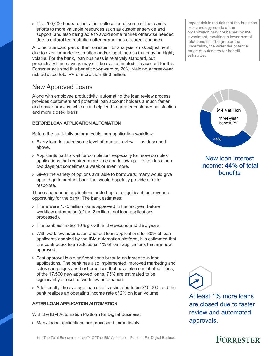11 | The Total Economic Impact™ Of The IBM Automation Platform For Digital Business

› The 200,000 hours reflects the reallocation of some of the team's efforts to more valuable resources such as customer service and support, and also being able to avoid some rehires otherwise needed due to natural team attrition after promotions or career changes.

Another standard part of the Forrester TEI analysis is risk adjustment due to over- or under-estimation and/or input metrics that may be highly volatile. For the bank, loan business is relatively standard, but productivity time savings may still be overestimated. To account for this, Forrester adjusted this benefit downward by 20%, yielding a three-year risk-adjusted total PV of more than \$8.3 million.

### New Approved Loans

Along with employee productivity, automating the loan review process provides customers and potential loan account holders a much faster and easier process, which can help lead to greater customer satisfaction and more closed loans.

### **BEFORE LOAN APPLICATION AUTOMATION**

Before the bank fully automated its loan application workflow:

- › Every loan included some level of manual review as described above.
- › Applicants had to wait for completion, especially for more complex applications that required more time and follow-up — often less than two days but sometimes a week or even more.
- › Given the variety of options available to borrowers, many would give up and go to another bank that would hopefully provide a faster response.

Those abandoned applications added up to a significant lost revenue opportunity for the bank. The bank estimates:

- › There were 1.75 million loans approved in the first year before workflow automation (of the 2 million total loan applications processed).
- If The bank estimates 10% growth in the second and third years.
- › With workflow automation and fast loan applications for 80% of loan applicants enabled by the IBM automation platform, it is estimated that this contributes to an additional 1% of loan applications that are now approved.
- › Fast approval is a significant contributor to an increase in loan applications. The bank has also implemented improved marketing and sales campaigns and best practices that have also contributed. Thus, of the 17,500 new approved loans, 75% are estimated to be significantly a result of workflow automation.
- › Additionally, the average loan size is estimated to be \$15,000, and the bank realizes an operating income rate of 2% on loan volume.

### **AFTER LOAN APPLICATION AUTOMATION**

With the IBM Automation Platform for Digital Business:

› Many loans applications are processed immediately.

Impact risk is the risk that the business or technology needs of the organization may not be met by the investment, resulting in lower overall total benefits. The greater the uncertainty, the wider the potential range of outcomes for benefit estimates.



### New loan interest income: **44%** of total **benefits**



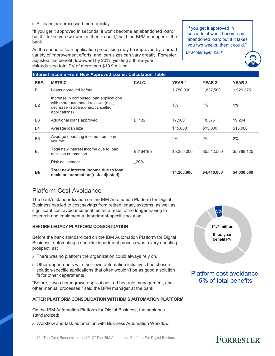› All loans are processed more quickly.

"If you get it approved in seconds, it won't become an abandoned loan; but if it takes you two weeks, then it could," said the BPM manager at the bank.

As the speed of loan application processing may be improved by a broad variety of improvement efforts, and loan sizes can vary greatly, Forrester adjusted this benefit downward by 20%, yielding a three-year risk-adjusted total PV of more than \$10.9 million.

"If you get it approved in seconds, it won't become an abandoned loan; but if it takes you two weeks, then it could."

*BPM manager, bank*

|                | <b>Interest Income From New Approved Loans: Calculation Table</b>                                                                 |            |              |               |               |  |  |  |  |
|----------------|-----------------------------------------------------------------------------------------------------------------------------------|------------|--------------|---------------|---------------|--|--|--|--|
| REF.           | <b>METRIC</b>                                                                                                                     | CALC.      | <b>YEAR1</b> | <b>YEAR 2</b> | <b>YEAR 3</b> |  |  |  |  |
| <b>B1</b>      | Loans approved before                                                                                                             |            | 1,750,000    | 1,837,500     | 1,929,375     |  |  |  |  |
| <b>B2</b>      | Increase in completed loan applications<br>with more automated reviews (e.g.,<br>decrease in abandoned/cancelled<br>applications) |            | $1\%$        | $1\%$         | $1\%$         |  |  |  |  |
| B <sub>3</sub> | Additional loans approved                                                                                                         | B1*B2      | 17,500       | 18,375        | 19,294        |  |  |  |  |
| <b>B4</b>      | Average loan size                                                                                                                 |            | \$15,000     | \$15,000      | \$15,000      |  |  |  |  |
| B <sub>6</sub> | Average operating income from loan<br>volume                                                                                      |            | 2%           | 2%            | 2%            |  |  |  |  |
| <b>Bt</b>      | Total new interest income due to loan<br>decision automation                                                                      | B3*B4*B5   | \$5,250,000  | \$5,512,500   | \$5,788,125   |  |  |  |  |
|                | Risk adjustment                                                                                                                   | <b>20%</b> |              |               |               |  |  |  |  |
| <b>Btr</b>     | Total new interest income due to loan<br>decision automation (risk-adjusted)                                                      |            | \$4,200,000  | \$4,410,000   | \$4,630,500   |  |  |  |  |

### Platform Cost Avoidance

The bank's standardization on the IBM Automation Platform for Digital Business has led to cost savings from retired legacy systems, as well as significant cost avoidance enabled as a result of no longer having to research and implement a department-specific solution.

### **BEFORE LEGACY PLATFORM CONSOLIDATION**

Before the bank standardized on the IBM Automation Platform for Digital Business, automating a specific department process was a very daunting prospect, as:

- › There was no platform the organization could always rely on.
- › Other departments with their own automation initiatives had chosen solution-specific applications that often wouldn't be as good a solution fit for other departments.

"Before, it was homegrown applications, ad hoc rule management, and other manual processes," said the BPM manager at the bank.

### **AFTER PLATFORM CONSOLIDATION WITH IBM'S AUTOMATION PLATFORM**

On the IBM Automation Platform for Digital Business, the bank has standardized:

› Workflow and task automation with Business Automation Workflow.



Platform cost avoidance: **5%** of total benefits

#### 12 | The Total Economic Impact™ Of The IBM Automation Platform For Digital Business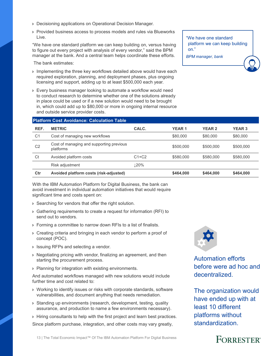- › Decisioning applications on Operational Decision Manager.
- › Provided business access to process models and rules via Blueworks Live.

"We have one standard platform we can keep building on, versus having to figure out every project with analysis of every vendor," said the BPM manager at the bank. And a central team helps coordinate these efforts.

The bank estimates:

- › Implementing the three key workflows detailed above would have each required exploration, planning, and deployment phases, plus ongoing licensing and support, adding up to at least \$500,000 each year.
- › Every business manager looking to automate a workflow would need to conduct research to determine whether one of the solutions already in place could be used or if a new solution would need to be brought in, which could add up to \$80,000 or more in ongoing internal resource and outside service provider costs.

"We have one standard platform we can keep building on." *BPM manager, bank*

| <b>Platform Cost Avoidance: Calculation Table</b> |                                                       |         |              |               |               |  |  |  |
|---------------------------------------------------|-------------------------------------------------------|---------|--------------|---------------|---------------|--|--|--|
| REF.                                              | <b>METRIC</b>                                         | CALC.   | <b>YEAR1</b> | <b>YEAR 2</b> | <b>YEAR 3</b> |  |  |  |
| C <sub>1</sub>                                    | Cost of managing new workflows                        |         | \$80,000     | \$80,000      | \$80,000      |  |  |  |
| C <sub>2</sub>                                    | Cost of managing and supporting previous<br>platforms |         | \$500,000    | \$500,000     | \$500,000     |  |  |  |
| Ct                                                | Avoided platform costs                                | $C1+C2$ | \$580,000    | \$580,000     | \$580,000     |  |  |  |
|                                                   | Risk adjustment                                       | L20%    |              |               |               |  |  |  |
| Ctr                                               | Avoided platform costs (risk-adjusted)                |         | \$464,000    | \$464,000     | \$464,000     |  |  |  |

With the IBM Automation Platform for Digital Business, the bank can avoid investment in individual automation initiatives that would require significant time and costs spent on:

- › Searching for vendors that offer the right solution.
- › Gathering requirements to create a request for information (RFI) to send out to vendors.
- › Forming a committee to narrow down RFIs to a list of finalists.
- › Creating criteria and bringing in each vendor to perform a proof of concept (POC).
- › Issuing RFPs and selecting a vendor.
- › Negotiating pricing with vendor, finalizing an agreement, and then starting the procurement process.
- › Planning for integration with existing environments.

And automated workflows managed with new solutions would include further time and cost related to:

- › Working to identify issues or risks with corporate standards, software vulnerabilities, and document anything that needs remediation.
- › Standing up environments (research, development, testing, quality assurance, and production to name a few environments necessary).
- › Hiring consultants to help with the first project and learn best practices. Since platform purchase, integration, and other costs may vary greatly,



Automation efforts before were ad hoc and decentralized.

The organization would have ended up with at least 10 different platforms without standardization.

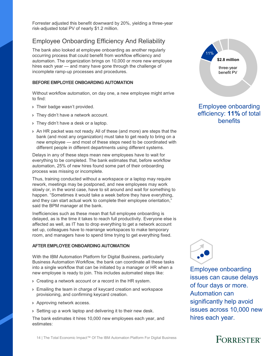Forrester adjusted this benefit downward by 20%, yielding a three-year risk-adjusted total PV of nearly \$1.2 million.

### Employee Onboarding Efficiency And Reliability

The bank also looked at employee onboarding as another regularly occurring process that could benefit from workflow efficiency and automation. The organization brings on 10,000 or more new employee hires each year — and many have gone through the challenge of incomplete ramp-up processes and procedures.

#### **BEFORE EMPLOYEE ONBOARDING AUTOMATION**

Without workflow automation, on day one, a new employee might arrive to find:

- > Their badge wasn't provided.
- › They didn't have a network account.
- › They didn't have a desk or a laptop.
- › An HR packet was not ready. All of these (and more) are steps that the bank (and most any organization) must take to get ready to bring on a new employee — and most of these steps need to be coordinated with different people in different departments using different systems.

Delays in any of these steps mean new employees have to wait for everything to be completed. The bank estimates that, before workflow automation, 25% of new hires found some part of their onboarding process was missing or incomplete.

Thus, training conducted without a workspace or a laptop may require rework, meetings may be postponed, and new employees may work slowly or, in the worst case, have to sit around and wait for something to happen. "Sometimes it would take a week before they have everything, and they can start actual work to complete their employee orientation," said the BPM manager at the bank.

Inefficiencies such as these mean that full employee onboarding is delayed, as is the time it takes to reach full productivity. Everyone else is affected as well, as IT has to drop everything to get a network account set up, colleagues have to rearrange workspaces to make temporary room, and managers have to spend time trying to get everything fixed.

#### **AFTER EMPLOYEE ONBOARDING AUTOMATION**

With the IBM Automation Platform for Digital Business, particularly Business Automation Workflow, the bank can coordinate all these tasks into a single workflow that can be initiated by a manager or HR when a new employee is ready to join. This includes automated steps like:

- › Creating a network account or a record in the HR system.
- › Emailing the team in charge of keycard creation and workspace provisioning, and confirming keycard creation.
- › Approving network access.
- › Setting up a work laptop and delivering it to their new desk.

The bank estimates it hires 10,000 new employees each year, and estimates:



### Employee onboarding efficiency: **11%** of total benefits



Employee onboarding issues can cause delays of four days or more. Automation can significantly help avoid issues across 10,000 new hires each year.

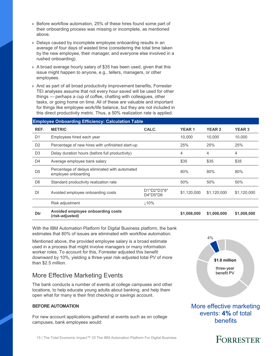- › Before workflow automation, 25% of these hires found some part of their onboarding process was missing or incomplete, as mentioned above.
- › Delays caused by incomplete employee onboarding results in an average of four days of wasted time (considering the total time taken by the new employee, their manager, and everyone else involved in a rushed onboarding).
- › A broad average hourly salary of \$35 has been used, given that this issue might happen to anyone, e.g., tellers, managers, or other employees.
- › And as part of all broad productivity improvement benefits, Forrester TEI analyses assume that not every hour saved will be used for other things — perhaps a cup of coffee, chatting with colleagues, other tasks, or going home on time. All of these are valuable and important for things like employee work/life balance, but they are not included in this direct productivity metric. Thus, a 50% realization rate is applied.

#### **Employee Onboarding Efficiency: Calculation Table**

| REF.           | <b>METRIC</b>                                                         | CALC.                     | <b>YEAR1</b> | <b>YEAR 2</b> | <b>YEAR 3</b> |
|----------------|-----------------------------------------------------------------------|---------------------------|--------------|---------------|---------------|
| D <sub>1</sub> | Employees hired each year                                             |                           | 10.000       | 10.000        | 10,000        |
| D <sub>2</sub> | Percentage of new hires with unfinished start-up                      |                           | 25%          | 25%           | 25%           |
| D <sub>3</sub> | Delay duration hours (before full productivity)                       |                           | 4            | 4             | 4             |
| D <sub>4</sub> | Average employee bank salary                                          |                           | \$35         | \$35          | \$35          |
| D <sub>5</sub> | Percentage of delays eliminated with automated<br>employee onboarding |                           | 80%          | 80%           | 80%           |
| D <sub>6</sub> | Standard productivity realization rate                                |                           | 50%          | 50%           | 50%           |
| Dt             | Avoided employee onboarding costs                                     | D1*D2*D3*8*<br>$D4*D5*D6$ | \$1,120,000  | \$1,120,000   | \$1,120,000   |
|                | Risk adjustment                                                       | 110%                      |              |               |               |
| Dtr            | Avoided employee onboarding costs<br>(risk-adjusted)                  |                           | \$1,008,000  | \$1,008,000   | \$1,008,000   |

With the IBM Automation Platform for Digital Business platform, the bank estimates that 80% of issues are eliminated with workflow automation.

Mentioned above, the provided employee salary is a broad estimate used in a process that might involve managers or many information worker roles. To account for this, Forrester adjusted this benefit downward by 10%, yielding a three-year risk-adjusted total PV of more than \$2.5 million.

### More Effective Marketing Events

The bank conducts a number of events at college campuses and other locations, to help educate young adults about banking, and help them open what for many is their first checking or savings account.

#### **BEFORE AUTOMATION**

For new account applications gathered at events such as on college campuses, bank employees would:



More effective marketing events: **4%** of total benefits

#### 15 | The Total Economic Impact™ Of The IBM Automation Platform For Digital Business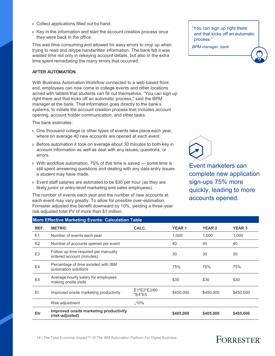- › Collect applications filled out by hand.
- › Key in the information and start the account creation process once they were back in the office.

This was time-consuming and allowed for easy errors to crop up when trying to read and retype handwritten information. The bank felt it was wasted time not only in rekeying account details, but also in the extra time spent remediating the many errors that occurred.

#### **AFTER AUTOMATION**

With Business Automation Workflow connected to a web-based front end, employees can now come to college events and other locations armed with tablets that students can fill out themselves. "You can sign up right there and that kicks off an automatic process," said the BPM manager at the bank. That information goes directly to the bank's systems, to initiate the account creation process that includes account opening, account holder communication, and other tasks.

The bank estimates:

- › One thousand college or other types of events take place each year, where on average 40 new accounts are opened at each event.
- › Before automation it took on average about 30 minutes to both key in account information as well as deal with any issues, questions, or errors.
- › With workflow automation, 75% of this time is saved some time is still spent answering questions and dealing with any data entry issues a student may have made.
- › Event staff salaries are estimated to be \$30 per hour (as they are likely junior or entry-level marketing and sales employees).

The number of events each year and the number of new accounts at each event may vary greatly. To allow for possible over-estimation, Forrester adjusted this benefit downward by 10%, yielding a three-year risk-adjusted total PV of more than \$1 million.

"You can sign up right there and that kicks off an automatic process."

*BPM manager, bank*



Event marketers can complete new application sign-ups 75% more quickly, leading to more accounts opened.

|                | <b>More Effective Marketing Events: Calculation Table</b>         |                       |              |               |               |  |  |  |  |
|----------------|-------------------------------------------------------------------|-----------------------|--------------|---------------|---------------|--|--|--|--|
| REF.           | <b>METRIC</b>                                                     | CALC.                 | <b>YEAR1</b> | <b>YEAR 2</b> | <b>YEAR 3</b> |  |  |  |  |
| E1             | Number of events each year                                        |                       | 1,000        | 1,000         | 1,000         |  |  |  |  |
| E2             | Number of accounts opened per event                               |                       | 40           | 40            | 40            |  |  |  |  |
| E <sub>3</sub> | Follow up time required per manually<br>entered account (minutes) |                       | 30           | 30            | 30            |  |  |  |  |
| E4             | Percentage of time avoided with IBM<br>automation solutions       |                       | 75%          | 75%           | 75%           |  |  |  |  |
| E <sub>5</sub> | Average hourly salary for employees<br>making onsite visits       |                       | \$30         | \$30          | \$30          |  |  |  |  |
| Et             | Improved onsite marketing productivity                            | E1*E2*E3/60<br>*E4*E5 | \$450,000    | \$450,000     | \$450,000     |  |  |  |  |
|                | Risk adjustment                                                   | 110%                  |              |               |               |  |  |  |  |
| Etr            | Improved onsite marketing productivity<br>(risk-adjusted)         |                       | \$405,000    | \$405,000     | \$405,000     |  |  |  |  |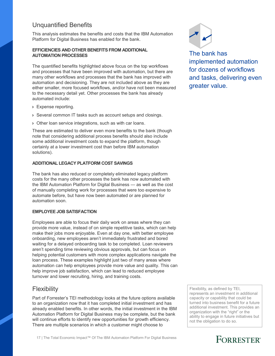### Unquantified Benefits

This analysis estimates the benefits and costs that the IBM Automation Platform for Digital Business has enabled for the bank.

### **EFFICIENCIES AND OTHER BENEFITS FROM ADDITIONAL AUTOMATION PROCESSES**

The quantified benefits highlighted above focus on the top workflows and processes that have been improved with automation, but there are many other workflows and processes that the bank has improved with automation and decisioning. They are not included above as they are either smaller, more focused workflows, and/or have not been measured to the necessary detail yet. Other processes the bank has already automated include:

- › Expense reporting.
- › Several common IT tasks such as account setups and closings.
- › Other loan service integrations, such as with car loans.

These are estimated to deliver even more benefits to the bank (though note that considering additional process benefits should also include some additional investment costs to expand the platform, though certainly at a lower investment cost than before IBM automation solutions).

### **ADDITIONAL LEGACY PLATFORM COST SAVINGS**

The bank has also reduced or completely eliminated legacy platform costs for the many other processes the bank has now automated with the IBM Automation Platform for Digital Business — as well as the cost of manually completing work for processes that were too expensive to automate before, but have now been automated or are planned for automation soon.

#### **EMPLOYEE JOB SATISFACTION**

Employees are able to focus their daily work on areas where they can provide more value, instead of on simple repetitive tasks, which can help make their jobs more enjoyable. Even at day one, with better employee onboarding, new employees aren't immediately frustrated and bored waiting for a delayed onboarding task to be completed. Loan reviewers aren't spending time reviewing obvious approvals, but can focus on helping potential customers with more complex applications navigate the loan process. These examples highlight just two of many areas where automation can help employees provide more value and quality. This can help improve job satisfaction, which can lead to reduced employee turnover and lower recruiting, hiring, and training costs.

### **Flexibility**

Part of Forrester's TEI methodology looks at the future options available to an organization now that it has completed initial investment and has already enabled benefits. In other words, the initial investment in the IBM Automation Platform for Digital Business may be complete, but the bank will continue efforts to identify new opportunities for growth efficiency. There are multiple scenarios in which a customer might choose to



The bank has implemented automation for dozens of workflows and tasks, delivering even greater value.

Flexibility, as defined by TEI, represents an investment in additional capacity or capability that could be turned into business benefit for a future additional investment. This provides an organization with the "right" or the ability to engage in future initiatives but not the obligation to do so.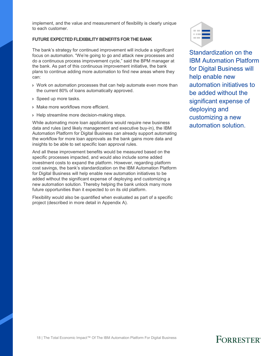implement, and the value and measurement of flexibility is clearly unique to each customer.

#### **FUTURE EXPECTED FLEXIBILITY BENEFITS FOR THE BANK**

The bank's strategy for continued improvement will include a significant focus on automation. "We're going to go and attack new processes and do a continuous process improvement cycle," said the BPM manager at the bank. As part of this continuous improvement initiative, the bank plans to continue adding more automation to find new areas where they can:

- › Work on automation processes that can help automate even more than the current 80% of loans automatically approved.
- › Speed up more tasks.
- › Make more workflows more efficient.
- **> Help streamline more decision-making steps.**

While automating more loan applications would require new business data and rules (and likely management and executive buy-in), the IBM Automation Platform for Digital Business can already support automating the workflow for more loan approvals as the bank gains more data and insights to be able to set specific loan approval rules.

And all these improvement benefits would be measured based on the specific processes impacted, and would also include some added investment costs to expand the platform. However, regarding platform cost savings, the bank's standardization on the IBM Automation Platform for Digital Business will help enable new automation initiatives to be added without the significant expense of deploying and customizing a new automation solution. Thereby helping the bank unlock many more future opportunities than it expected to on its old platform.

Flexibility would also be quantified when evaluated as part of a specific project (described in more detail in Appendix A).



Standardization on the IBM Automation Platform for Digital Business will help enable new automation initiatives to be added without the significant expense of deploying and customizing a new automation solution.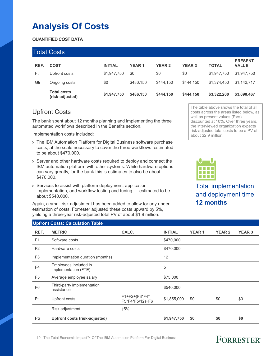## **Analysis Of Costs**

### **QUANTIFIED COST DATA**

|      | <b>Total Costs</b>                    |                |              |               |               |              |                                |
|------|---------------------------------------|----------------|--------------|---------------|---------------|--------------|--------------------------------|
| REF. | <b>COST</b>                           | <b>INITIAL</b> | <b>YEAR1</b> | <b>YEAR 2</b> | <b>YEAR 3</b> | <b>TOTAL</b> | <b>PRESENT</b><br><b>VALUE</b> |
| Ftr  | Upfront costs                         | \$1,947,750    | \$0          | \$0           | \$0           | \$1,947,750  | \$1,947,750                    |
| Gtr  | Ongoing costs                         | \$0            | \$486,150    | \$444.150     | \$444,150     | \$1,374,450  | \$1,142,717                    |
|      | <b>Total costs</b><br>(risk-adjusted) | \$1,947,750    | \$486,150    | \$444,150     | \$444,150     | \$3,322,200  | \$3,090,467                    |

### Upfront Costs

The bank spent about 12 months planning and implementing the three automated workflows described in the Benefits section.

Implementation costs included:

- › The IBM Automation Platform for Digital Business software purchase costs, at the scale necessary to cover the three workflows, estimated to be about \$470,000.
- › Server and other hardware costs required to deploy and connect the IBM automation platform with other systems. While hardware options can vary greatly, for the bank this is estimates to also be about \$470,000.
- › Services to assist with platform deployment, application implementation, and workflow testing and tuning — estimated to be about \$540,000.

Again, a small risk adjustment has been added to allow for any underestimation of costs. Forrester adjusted these costs upward by 5%, yielding a three-year risk-adjusted total PV of about \$1.9 million.

The table above shows the total of all costs across the areas listed below, as well as present values (PVs) discounted at 10%. Over three years, the interviewed organization expects risk-adjusted total costs to be a PV of about \$2.9 million.



Total implementation and deployment time: **12 months**

### **Upfront Costs: Calculation Table**

| REF.           | <b>METRIC</b>                                 | CALC.                            | <b>INITIAL</b> | <b>YEAR1</b> | <b>YEAR 2</b> | <b>YEAR 3</b> |
|----------------|-----------------------------------------------|----------------------------------|----------------|--------------|---------------|---------------|
| F <sub>1</sub> | Software costs                                |                                  | \$470,000      |              |               |               |
| F <sub>2</sub> | Hardware costs                                |                                  | \$470,000      |              |               |               |
| F <sub>3</sub> | Implementation duration (months)              |                                  | 12             |              |               |               |
| F <sub>4</sub> | Employees included in<br>implementation (FTE) |                                  | 5              |              |               |               |
| F <sub>5</sub> | Average employee salary                       |                                  | \$75,000       |              |               |               |
| F <sub>6</sub> | Third-party implementation<br>assistance      |                                  | \$540,000      |              |               |               |
| Ft             | Upfront costs                                 | F1+F2+(F3*F4*<br>F5*F4*F5/12)+F6 | \$1,855,000    | \$0          | \$0           | \$0           |
|                | Risk adjustment                               | ↑5%                              |                |              |               |               |
| <b>Ftr</b>     | Upfront costs (risk-adjusted)                 |                                  | \$1,947,750    | \$0          | \$0           | \$0           |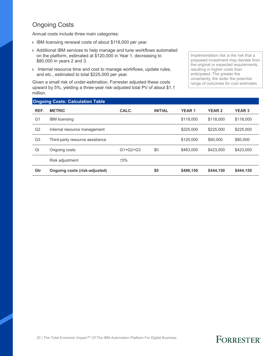## Ongoing Costs

Annual costs include three main categories:

- › IBM licensing renewal costs of about \$118,000 per year.
- › Additional IBM services to help manage and tune workflows automated on the platform, estimated at \$120,000 in Year 1, decreasing to \$80,000 in years 2 and 3.
- › Internal resource time and cost to manage workflows, update rules, and etc., estimated to total \$225,000 per year.

Given a small risk of under-estimation, Forrester adjusted these costs upward by 5%, yielding a three-year risk-adjusted total PV of about \$1.1 million.

Implementation risk is the risk that a proposed investment may deviate from the original or expected requirements, resulting in higher costs than anticipated. The greater the uncertainty, the wider the potential range of outcomes for cost estimates.

|                | <b>Ongoing Costs: Calculation Table</b> |            |                |              |               |               |
|----------------|-----------------------------------------|------------|----------------|--------------|---------------|---------------|
| REF.           | <b>METRIC</b>                           | CALC.      | <b>INITIAL</b> | <b>YEAR1</b> | <b>YEAR 2</b> | <b>YEAR 3</b> |
| G <sub>1</sub> | <b>IBM</b> licensing                    |            |                | \$118,000    | \$118,000     | \$118,000     |
| G <sub>2</sub> | Internal resource management            |            |                | \$225,000    | \$225,000     | \$225,000     |
| G <sub>3</sub> | Third-party resource assistance         |            |                | \$120,000    | \$80,000      | \$80,000      |
| Gt             | Ongoing costs                           | $G1+G2+G3$ | \$0            | \$463,000    | \$423,000     | \$423,000     |
|                | Risk adjustment                         | ↑5%        |                |              |               |               |
| Gtr            | Ongoing costs (risk-adjusted)           |            | \$0            | \$486,150    | \$444.150     | \$444,150     |

#### 20 | The Total Economic Impact™ Of The IBM Automation Platform For Digital Business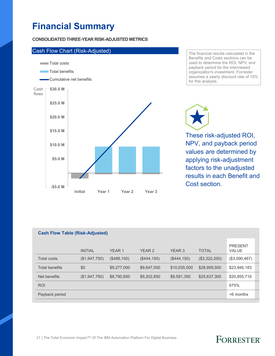## **Financial Summary**

#### **CONSOLIDATED THREE-YEAR RISK-ADJUSTED METRICS**



The financial results calculated in the Benefits and Costs sections can be used to determine the ROI, NPV, and payback period for the interviewed organization's investment. Forrester assumes a yearly discount rate of 10% for this analysis.

These risk-adjusted ROI,

NPV, and payback period values are determined by applying risk-adjustment factors to the unadjusted results in each Benefit and Cost section.

| <b>Cash Flow Table (Risk-Adjusted)</b> |                |               |                   |               |               |                                |  |  |
|----------------------------------------|----------------|---------------|-------------------|---------------|---------------|--------------------------------|--|--|
|                                        | <b>INITIAL</b> | <b>YEAR 1</b> | YEAR <sub>2</sub> | <b>YEAR 3</b> | <b>TOTAL</b>  | <b>PRESENT</b><br><b>VALUE</b> |  |  |
| <b>Total costs</b>                     | (\$1,947,750)  | (\$486,150)   | (\$444,150)       | (\$444,150)   | (\$3,322,200) | (\$3,090,467)                  |  |  |
| <b>Total benefits</b>                  | \$0            | \$9,277,000   | \$9,647,000       | \$10,035,500  | \$28,959,500  | \$23,946,183                   |  |  |
| Net benefits                           | (\$1,947,750)  | \$8,790,850   | \$9,202,850       | \$9,591,350   | \$25,637,300  | \$20,855,716                   |  |  |
| <b>ROI</b>                             |                |               |                   |               |               | 675%                           |  |  |
| Payback period                         |                |               |                   |               |               | $<$ 6 months                   |  |  |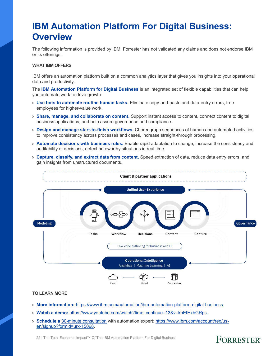## **IBM Automation Platform For Digital Business: Overview**

The following information is provided by IBM. Forrester has not validated any claims and does not endorse IBM or its offerings.

#### **WHAT IBM OFFERS**

IBM offers an automation platform built on a common analytics layer that gives you insights into your operational data and productivity.

The **IBM Automation Platform for Digital Business** is an integrated set of flexible capabilities that can help you automate work to drive growth:

- › **Use bots to automate routine human tasks.** Eliminate copy-and-paste and data-entry errors, free employees for higher-value work.
- › **Share, manage, and collaborate on content.** Support instant access to content, connect content to digital business applications, and help assure governance and compliance.
- › **Design and manage start-to-finish workflows.** Choreograph sequences of human and automated activities to improve consistency across processes and cases, increase straight-through processing.
- › **Automate decisions with business rules.** Enable rapid adaptation to change, increase the consistency and auditability of decisions, detect noteworthy situations in real time.
- › **Capture, classify, and extract data from content.** Speed extraction of data, reduce data entry errors, and gain insights from unstructured documents.



#### **TO LEARN MORE**

- › **More information:** https://www.ibm.com/automation/ibm-automation-platform-digital-business.
- › **Watch a demo:** https://www.youtube.com/watch?time\_continue=13&v=kbEfHxbGRps.
- › **Schedule a** 30-minute consultation with automation expert: https://www.ibm.com/account/reg/usen/signup?formid=urx-15068.

22 | The Total Economic Impact™ Of The IBM Automation Platform For Digital Business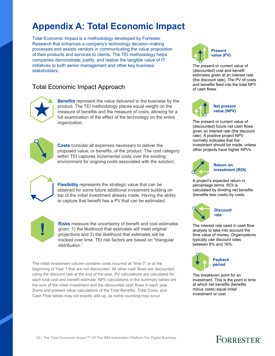## **Appendix A: Total Economic Impact**

Total Economic Impact is a methodology developed by Forrester Research that enhances a company's technology decision-making processes and assists vendors in communicating the value proposition of their products and services to clients. The TEI methodology helps companies demonstrate, justify, and realize the tangible value of IT initiatives to both senior management and other key business stakeholders.

### Total Economic Impact Approach



**Benefits** represent the value delivered to the business by the product. The TEI methodology places equal weight on the measure of benefits and the measure of costs, allowing for a full examination of the effect of the technology on the entire organization.



**Costs** consider all expenses necessary to deliver the proposed value, or benefits, of the product. The cost category within TEI captures incremental costs over the existing environment for ongoing costs associated with the solution.



**Flexibility** represents the strategic value that can be obtained for some future additional investment building on top of the initial investment already made. Having the ability to capture that benefit has a PV that can be estimated.



**Risks** measure the uncertainty of benefit and cost estimates given: 1) the likelihood that estimates will meet original projections and 2) the likelihood that estimates will be tracked over time. TEI risk factors are based on "triangular distribution."

The initial investment column contains costs incurred at "time 0" or at the beginning of Year 1 that are not discounted. All other cash flows are discounted using the discount rate at the end of the year. PV calculations are calculated for each total cost and benefit estimate. NPV calculations in the summary tables are the sum of the initial investment and the discounted cash flows in each year. Sums and present value calculations of the Total Benefits, Total Costs, and Cash Flow tables may not exactly add up, as some rounding may occur.



The present or current value of (discounted) cost and benefit estimates given at an interest rate (the discount rate). The PV of costs and benefits feed into the total NPV of cash flows.



**Net present value (NPV)**

The present or current value of (discounted) future net cash flows given an interest rate (the discount rate). A positive project NPV normally indicates that the investment should be made, unless other projects have higher NPVs.



### **Return on investment (ROI)**

A project's expected return in percentage terms. ROI is calculated by dividing net benefits (benefits less costs) by costs.



The interest rate used in cash flow analysis to take into account the time value of money. Organizations typically use discount rates between 8% and 16%.

![](_page_24_Picture_22.jpeg)

The breakeven point for an investment. This is the point in time at which net benefits (benefits minus costs) equal initial investment or cost.

![](_page_24_Picture_24.jpeg)